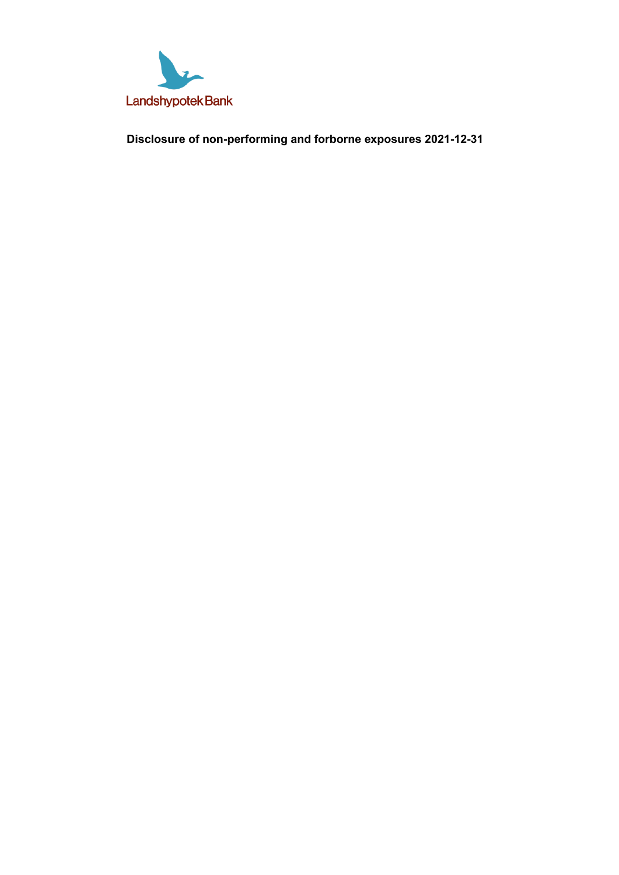

**Disclosure of non-performing and forborne exposures 2021-12-31**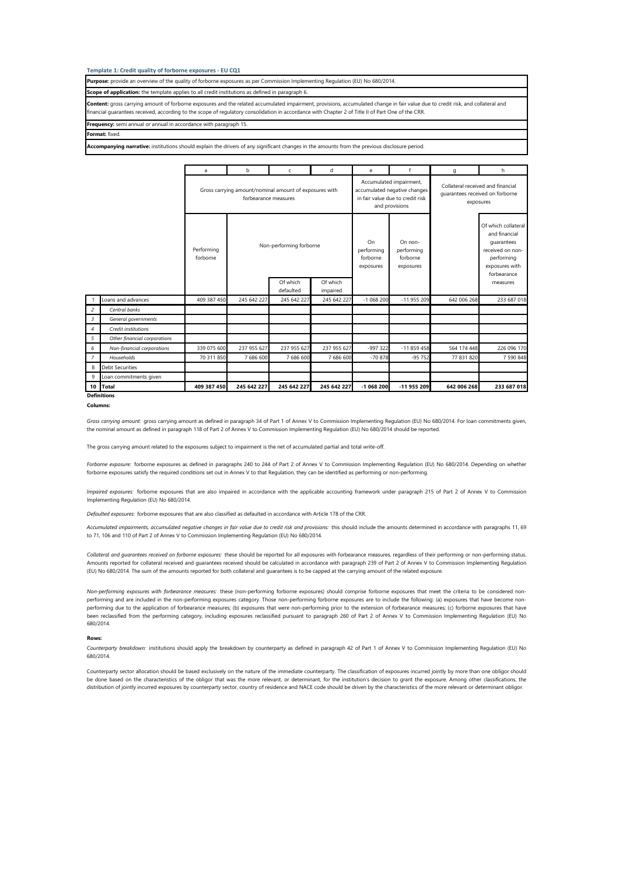#### **Template 1: Credit quality of forborne exposures - EU CQ1**

| <b>Purpose:</b> provide an overview of the quality of forborne exposures as per Commission Implementing Regulation (EU) No 680/2014.                                                                                                                                                                                                   |  |  |  |  |  |  |  |  |
|----------------------------------------------------------------------------------------------------------------------------------------------------------------------------------------------------------------------------------------------------------------------------------------------------------------------------------------|--|--|--|--|--|--|--|--|
| Scope of application: the template applies to all credit institutions as defined in paragraph 6.                                                                                                                                                                                                                                       |  |  |  |  |  |  |  |  |
| Content: gross carrying amount of forborne exposures and the related accumulated impairment, provisions, accumulated change in fair value due to credit risk, and collateral and<br>financial quarantees received, according to the scope of regulatory consolidation in accordance with Chapter 2 of Title II of Part One of the CRR. |  |  |  |  |  |  |  |  |
| Frequency: semi annual or annual in accordance with paragraph 15.                                                                                                                                                                                                                                                                      |  |  |  |  |  |  |  |  |
| Format: fixed.                                                                                                                                                                                                                                                                                                                         |  |  |  |  |  |  |  |  |
| Accompanying narrative: institutions should explain the drivers of any significant changes in the amounts from the previous disclosure period.                                                                                                                                                                                         |  |  |  |  |  |  |  |  |
|                                                                                                                                                                                                                                                                                                                                        |  |  |  |  |  |  |  |  |
|                                                                                                                                                                                                                                                                                                                                        |  |  |  |  |  |  |  |  |

|                |                              |                        |                                                                                |                         |                      |                                           |                                                                                                               | ັ                                                                                 |                                                                                                                       |  |  |
|----------------|------------------------------|------------------------|--------------------------------------------------------------------------------|-------------------------|----------------------|-------------------------------------------|---------------------------------------------------------------------------------------------------------------|-----------------------------------------------------------------------------------|-----------------------------------------------------------------------------------------------------------------------|--|--|
|                |                              |                        | Gross carrying amount/nominal amount of exposures with<br>forbearance measures |                         |                      |                                           | Accumulated impairment,<br>accumulated negative changes<br>in fair value due to credit risk<br>and provisions | Collateral received and financial<br>quarantees received on forborne<br>exposures |                                                                                                                       |  |  |
|                |                              | Performing<br>forborne |                                                                                | Non-performing forborne |                      | On<br>performing<br>forborne<br>exposures | On non-<br>performing<br>forborne<br>exposures                                                                |                                                                                   | Of which collateral<br>and financial<br>quarantees<br>received on non-<br>performing<br>exposures with<br>forbearance |  |  |
|                |                              |                        |                                                                                | Of which<br>defaulted   | Of which<br>impaired |                                           |                                                                                                               |                                                                                   | measures                                                                                                              |  |  |
|                | Loans and advances           | 409 387 450            | 245 642 227                                                                    | 245 642 227             | 245 642 227          | $-1068200$                                | $-11955209$                                                                                                   | 642 006 268                                                                       | 233 687 018                                                                                                           |  |  |
| $\overline{c}$ | Central banks                |                        |                                                                                |                         |                      |                                           |                                                                                                               |                                                                                   |                                                                                                                       |  |  |
| 3              | General governments          |                        |                                                                                |                         |                      |                                           |                                                                                                               |                                                                                   |                                                                                                                       |  |  |
| $\overline{4}$ | Credit institutions          |                        |                                                                                |                         |                      |                                           |                                                                                                               |                                                                                   |                                                                                                                       |  |  |
| 5              | Other financial corporations |                        |                                                                                |                         |                      |                                           |                                                                                                               |                                                                                   |                                                                                                                       |  |  |
| 6              | Non-financial corporations   | 339 075 600            | 237 955 627<br>237 955 627                                                     |                         | 237 955 627          | -997 322                                  | -11 859 458                                                                                                   | 564 174 448                                                                       | 226 096 170                                                                                                           |  |  |
| $\overline{7}$ | Households                   | 70 311 850             | 7686600                                                                        | 7 686 600               | 7 686 600            | $-70.878$                                 | $-95752$                                                                                                      | 77 831 820                                                                        | 7 590 848                                                                                                             |  |  |
| 8              | <b>Debt Securities</b>       |                        |                                                                                |                         |                      |                                           |                                                                                                               |                                                                                   |                                                                                                                       |  |  |
| 9              | Loan commitments given       |                        |                                                                                |                         |                      |                                           |                                                                                                               |                                                                                   |                                                                                                                       |  |  |
| 10             | <b>Total</b>                 | 409 387 450            | 245 642 227                                                                    | 245 642 227             | 245 642 227          | $-1068200$                                | -11 955 209                                                                                                   | 642 006 268                                                                       | 233 687 018                                                                                                           |  |  |
|                | <b>Definitions</b>           |                        |                                                                                |                         |                      |                                           |                                                                                                               |                                                                                   |                                                                                                                       |  |  |

**Columns:**

Gross *carrying amount:* gross carrying amount as defined in paragraph 34 of Part 1 of Annex V to Commission Implementing Regulation (EU) No 680/2014. For loan commitments given, the nominal amount as defined in paragraph 118 of Part 2 of Annex V to Commission Implementing Regulation (EU) No 680/2014 should be reported.

The gross carrying amount related to the exposures subject to impairment is the net of accumulated partial and total write-off.

*Forborne exposure:* forborne exposures as defined in paragraphs 240 to 244 of Part 2 of Annex V to Commission Implementing Regulation (EU) No 680/2014. Depending on whether forborne exposures satisfy the required conditions set out in Annex V to that Regulation, they can be identified as performing or non-performing.

*Impaired exposures:* forborne exposures that are also impaired in accordance with the applicable accounting framework under paragraph 215 of Part 2 of Annex V to Commission Implementing Regulation (EU) No 680/2014.

*Defaulted exposures:* forborne exposures that are also classified as defaulted in accordance with Article 178 of the CRR.

Accumulated impairments, accumulated negative changes in fair value due to credit risk and provisions: this should include the amounts determined in accordance with paragraphs 11, 69 to 71, 106 and 110 of Part 2 of Annex V to Commission Implementing Regulation (EU) No 680/2014.

Collateral and guarantees received on forborne exposures: these should be reported for all exposures with forbearance measures, regardless of their performing or non-performing status. Amounts reported for collateral received and guarantees received should be calculated in accordance with paragraph 239 of Part 2 of Annex V to Commission Implementing Regulation (EU) No 680/2014. The sum of the amounts reported for both collateral and guarantees is to be capped at the carrying amount of the related exposure.

*Non-performing exposures with forbearance measures:* these (non-performing forborne exposures) should comprise forborne exposures that meet the criteria to be considered nonperforming and are included in the non-performing exposures category. Those non-performing forborne exposures are to include the following: (a) exposures that have become nonperforming due to the application of forbearance measures; (b) exposures that were non-performing prior to the extension of forbearance measures; (c) forborne exposures that have been reclassified from the performing category, including exposures reclassified pursuant to paragraph 260 of Part 2 of Annex V to Commission Implementing Regulation (EU) No 680/2014.

#### **Rows:**

*Counterparty breakdown:* institutions should apply the breakdown by counterparty as defined in paragraph 42 of Part 1 of Annex V to Commission Implementing Regulation (EU) No 680/2014.

Counterparty sector allocation should be based exclusively on the nature of the immediate counterparty. The classification of exposures incurred jointly by more than one obligor should be done based on the characteristics of the obligor that was the more relevant, or determinant, for the institution's decision to grant the exposure. Among other classifications, the distribution of jointly incurred exposures by counterparty sector, country of residence and NACE code should be driven by the characteristics of the more relevant or determinant obligor.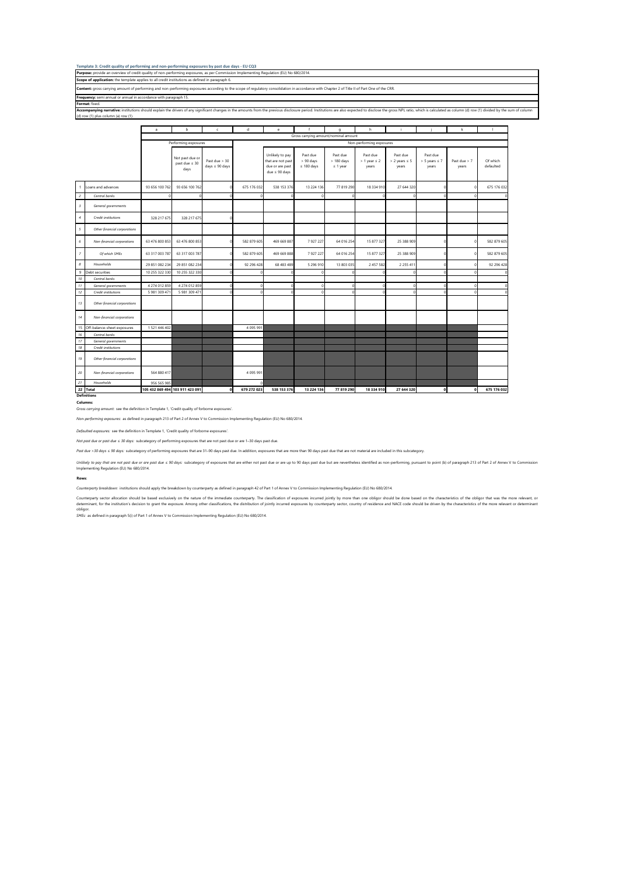## **Template 3: Credit quality of performing and non-performing exposures by past due days - EU CQ3**

**Purpose:** provide an overview of credit quality of non-performing exposures, as per Commission Implementing Regulation (EU) No 680/2014. **Scope of application:** the template applies to all credit institutions as defined in paragraph 6.

**Content:** gross carrying amount of performing and non-performing exposures according to the scope of regulatory consolidation in accordance with Chapter 2 of Title II of Part One of the CRR.

**Frequency:** semi annual or annual in accordance with paragraph 15.

**Accompany narativ**e institutions should explain the drivers of any significant changes in the amounts from the previous disclosure period. Institutions are also expected to disclose the gross NPL ratio, which is calculate **Format:** fixed.

|                |                                            | a                                                | b                                        | c                                    | d           | $\mathbf{p}$                                                                  | $\ddot{}$                                | o                                        | h                                        |                                           |                                           | k                       |                       |
|----------------|--------------------------------------------|--------------------------------------------------|------------------------------------------|--------------------------------------|-------------|-------------------------------------------------------------------------------|------------------------------------------|------------------------------------------|------------------------------------------|-------------------------------------------|-------------------------------------------|-------------------------|-----------------------|
|                |                                            |                                                  | Gross carrying amount/nominal amount     |                                      |             |                                                                               |                                          |                                          |                                          |                                           |                                           |                         |                       |
|                |                                            | Non-performing exposures<br>Performing exposures |                                          |                                      |             |                                                                               |                                          |                                          |                                          |                                           |                                           |                         |                       |
|                |                                            |                                                  | Not past due or<br>past due ≤ 30<br>days | Past due > 30<br>days $\leq 90$ days |             | Unlikely to pay<br>that are not past<br>due or are past<br>due $\leq 90$ days | Past due<br>> 90 days<br>$\leq 180$ days | Past due<br>$>180$ days<br>$\leq 1$ year | Past due<br>$> 1$ year $\leq 2$<br>years | Past due<br>$> 2$ years $\leq 5$<br>years | Past due<br>$> 5$ years $\leq 7$<br>years | Past due $> 7$<br>years | Of which<br>defaulted |
| $\overline{1}$ | Loans and advances                         | 93 656 100 762                                   | 93 656 100 762                           |                                      | 675 176 032 | 538 153 376                                                                   | 13 224 136                               | 77 819 290                               | 18 334 910                               | 27 644 320                                |                                           |                         | 675 176 032           |
| $\overline{c}$ | Central banks                              |                                                  |                                          |                                      |             |                                                                               |                                          |                                          |                                          |                                           |                                           |                         |                       |
| $\overline{3}$ | General governments                        |                                                  |                                          |                                      |             |                                                                               |                                          |                                          |                                          |                                           |                                           |                         |                       |
| $\overline{4}$ | Credit institutions                        | 328 217 675                                      | 328 217 675                              |                                      |             |                                                                               |                                          |                                          |                                          |                                           |                                           |                         |                       |
| 5              | Other financial corporations               |                                                  |                                          |                                      |             |                                                                               |                                          |                                          |                                          |                                           |                                           |                         |                       |
| 6              | Non-financial corporations                 | 63 476 800 853                                   | 63 476 800 853                           |                                      | 582 879 605 | 469 669 887                                                                   | 7 927 227                                | 64 016 254                               | 15 877 327                               | 25 388 909                                |                                           |                         | 582 879 605           |
| $\overline{7}$ | Of which SMEs                              | 63 317 003 787                                   | 63 317 003 787                           |                                      | 582 879 605 | 469 669 888                                                                   | 7927227                                  | 64 016 254                               | 15 877 327                               | 25 388 909                                |                                           |                         | 582 879 605           |
| $\it{s}$       | Households                                 | 29 851 082 234                                   | 29 851 082 234                           |                                      | 92 296 428  | 68 483 489                                                                    | 5 296 91                                 | 13 803 035                               | 2 457 582                                | 2 2 5 4 1                                 |                                           |                         | 92 296 428            |
| $\overline{9}$ | Debt securities                            | 10 255 322 33                                    | 10 255 322 330                           |                                      |             |                                                                               |                                          |                                          |                                          |                                           |                                           |                         |                       |
| $10\,$         | Central banks                              |                                                  |                                          |                                      |             |                                                                               |                                          |                                          |                                          |                                           |                                           |                         |                       |
| 11             | General governments<br>Credit institutions | 4 274 012 85                                     | 4 274 012 859                            |                                      |             |                                                                               |                                          |                                          |                                          |                                           |                                           |                         |                       |
| 12<br>13       | Other financial corporations               | 5 981 309 47                                     | 5 981 309 47                             |                                      |             |                                                                               |                                          |                                          |                                          |                                           |                                           |                         |                       |
| $14\,$         | Non-financial corporations                 |                                                  |                                          |                                      |             |                                                                               |                                          |                                          |                                          |                                           |                                           |                         |                       |
| 15             | Off-balance-sheet exposures                | 1 521 446 402                                    |                                          |                                      | 4 095 99    |                                                                               |                                          |                                          |                                          |                                           |                                           |                         |                       |
| 16             | Central banks                              |                                                  |                                          |                                      |             |                                                                               |                                          |                                          |                                          |                                           |                                           |                         |                       |
| $17\,$         | General governments                        |                                                  |                                          |                                      |             |                                                                               |                                          |                                          |                                          |                                           |                                           |                         |                       |
| 18             | Credit institutions                        |                                                  |                                          |                                      |             |                                                                               |                                          |                                          |                                          |                                           |                                           |                         |                       |
| 19             | Other financial corporations               |                                                  |                                          |                                      |             |                                                                               |                                          |                                          |                                          |                                           |                                           |                         |                       |
| 20             | Non-financial corporations                 | 564 880 417                                      |                                          |                                      | 4 095 991   |                                                                               |                                          |                                          |                                          |                                           |                                           |                         |                       |
| 21             | Households                                 | 956 565 989                                      |                                          |                                      |             |                                                                               |                                          |                                          |                                          |                                           |                                           |                         |                       |
| 22             | <b>Total</b>                               | 105 432 869 494                                  | 103 911 423 091                          | $\mathbf{0}$                         | 679 272 023 | 538 153 376                                                                   | 13 224 136                               | 77 819 290                               | 18 334 910                               | 27 644 320                                | $\mathbf{r}$                              |                         | 675 176 032           |

**Definitions Columns:**

#### *Gross carrying amount:* see the definition in Template 1, 'Credit quality of forborne exposures'.

*Non-performing exposures:* as defined in paragraph 213 of Part 2 of Annex V to Commission Implementing Regulation (EU) No 680/2014.

*Defaulted exposures:* see the definition in Template 1, 'Credit quality of forborne exposures'.

*Not past due or past due ≤ 30 days:* subcategory of performing exposures that are not past due or are 1–30 days past due.

*Past due >30 days ≤ 90 days:* subcategory of performing exposures that are 31–90 days past due. In addition, exposures that are more than 90 days past due that are not material are included in this subcategory.

Unikely to pay that one not pare post due ≤ 90 days: subcategory of exposures that are either not past due or are up to 90 days past due but are nevertheless identified as non-performing, pursuant to point (b) of paragraph

**Rows:**

*Counterparty breakdown:* institutions should apply the breakdown by counterparty as defined in paragraph 42 of Part 1 of Annex V to Commission Implementing Regulation (EU) No 680/2014.

Counterparty sector allocation should be be duely on the nature of the immediate counterparty. The classification of exposures incurred jointy by more than one obligor should be done based on the characteristics of the mor

obligor. *SMEs:* as defined in paragraph 5(i) of Part 1 of Annex V to Commission Implementing Regulation (EU) No 680/2014.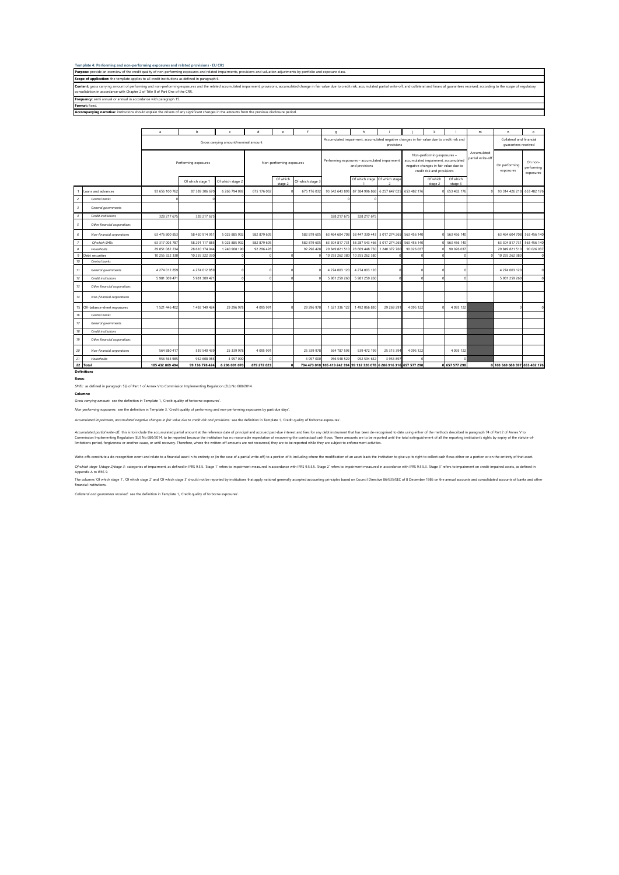#### **Template 4: Performing and non-performing exposures and related provisions - EU CR1**

**Purpose**: provide an overview of the credit quality of non-performing exposures and related impairments, provisions and valuation adjustments by portfolio and exposure class<br>**Scope of application:** the template applies to

**Content** grown amount on performing man on-performing exposures and the related accumulated mpairment, provsions, accumulated change in fair value due to credit risk, accumulated partial write-oft, and collateral and than Frequency: semi annual or annual in accordance with paragraph

**Format:** fixed.

# **Accompanying narrative:** institutions should explain the drivers of any significant changes in the amounts from the previous disclosure period.

|    |                              | $\mathbf{a}$                         | b.                                                                                                      | c                | d           | e                        |                  | $\alpha$                                                             |                                                                 |                                                 |               |                                                                                                                                          |                     | m | n                             | $\Omega$                           |
|----|------------------------------|--------------------------------------|---------------------------------------------------------------------------------------------------------|------------------|-------------|--------------------------|------------------|----------------------------------------------------------------------|-----------------------------------------------------------------|-------------------------------------------------|---------------|------------------------------------------------------------------------------------------------------------------------------------------|---------------------|---|-------------------------------|------------------------------------|
|    |                              | Gross carrying amount/nominal amount | Accumulated impairment, accumulated negative changes in fair value due to credit risk and<br>provisions |                  |             |                          |                  |                                                                      |                                                                 | Collateral and financial<br>quarantees received |               |                                                                                                                                          |                     |   |                               |                                    |
|    |                              |                                      | Performing exposures                                                                                    |                  |             | Non-performing exposures |                  |                                                                      | Performing exposures - accumulated impairment<br>and provisions |                                                 |               | Non-performing exposures -<br>accumulated impairment, accumulated<br>negative changes in fair value due to<br>credit risk and provisions |                     |   | On performing<br>exposures    | On non-<br>performing<br>exposures |
|    |                              |                                      | Of which stage 1                                                                                        | Of which stage 2 |             | Of which<br>stage 2      | Of which stage 3 |                                                                      | Of which stage Of which stage                                   | $\mathcal{D}$                                   |               | Of which<br>stage 2                                                                                                                      | Of which<br>stage 3 |   |                               |                                    |
|    | oans and advances            | 93 656 100 762                       | 87 389 306 67                                                                                           | 6 266 794 092    | 675 176 032 |                          | 675 176 032      | 93 642 643 89                                                        | 87 384 996 868                                                  | 6 257 647 025                                   | 653 482 176   |                                                                                                                                          | 653 482 176         |   | 93 314 426 21                 | 653 482 176                        |
|    | Central banks                |                                      |                                                                                                         |                  |             |                          |                  |                                                                      |                                                                 |                                                 |               |                                                                                                                                          |                     |   |                               |                                    |
|    | General governments          |                                      |                                                                                                         |                  |             |                          |                  |                                                                      |                                                                 |                                                 |               |                                                                                                                                          |                     |   |                               |                                    |
|    | Credit institutions          | 328 217 675                          | 328 217 675                                                                                             |                  |             |                          |                  | 328 217 67                                                           | 328 217 675                                                     |                                                 |               |                                                                                                                                          |                     |   |                               |                                    |
|    | Other financial corporations |                                      |                                                                                                         |                  |             |                          |                  |                                                                      |                                                                 |                                                 |               |                                                                                                                                          |                     |   |                               |                                    |
|    | Non-financial corporations   | 63 476 800 853                       | 58 450 914 951                                                                                          | 5 025 885 902    | 582 879 60  |                          | 582 879 605      | 63 464 604 708                                                       | 58 447 330 443                                                  | 5 017 274 265                                   | 563 456 140   |                                                                                                                                          | 563 456 140         |   | 63 464 604 70                 | 563 456 140                        |
|    | Of which SMEs                | 63 317 003 787                       | 58 291 117 889                                                                                          | 5 025 885 902    | 582 879 60  |                          | 582 879 605      | 63 304 817 73                                                        | 58 287 543 466                                                  | 5 017 274 265                                   | 563 456 140   |                                                                                                                                          | 563 456 140         |   | 63 304 817 73                 | 563 456 140                        |
|    | Households                   | 29 851 082 234                       | 28 610 174 044                                                                                          | 1 240 908 190    | 92 296 42   |                          | 92 296 428       | 29 849 821 51                                                        | 28 609 448 750                                                  | 1 240 372 760                                   | 90 026 037    |                                                                                                                                          | 90 026 037          |   | 29 849 821 51                 | 90 026 037                         |
| ٩  | Debt securities              | 10 255 322 330                       | 10 255 322 330                                                                                          |                  |             |                          |                  | 10 255 262 38                                                        | 10 255 262 380                                                  |                                                 |               |                                                                                                                                          |                     |   | 10 255 262 38                 | x                                  |
| 10 | Central banks                |                                      |                                                                                                         |                  |             |                          |                  |                                                                      |                                                                 |                                                 |               |                                                                                                                                          |                     |   |                               |                                    |
| 11 | General governments          | 4 274 012 859                        | 4 274 012 859                                                                                           |                  |             |                          |                  | 4 274 003 120                                                        | 4 274 003 120                                                   |                                                 |               |                                                                                                                                          |                     |   | 4 274 003 120                 | n                                  |
| 12 | Credit institutions          | 5 981 309 47                         | 5 981 309 471                                                                                           |                  |             |                          |                  | 5 981 259 26                                                         | 5 981 259 260                                                   |                                                 |               |                                                                                                                                          |                     |   | 5 981 259 260                 |                                    |
| 13 | Other financial corporations |                                      |                                                                                                         |                  |             |                          |                  |                                                                      |                                                                 |                                                 |               |                                                                                                                                          |                     |   |                               |                                    |
| 14 | Non-financial corporations   |                                      |                                                                                                         |                  |             |                          |                  |                                                                      |                                                                 |                                                 |               |                                                                                                                                          |                     |   |                               |                                    |
|    | Off-balance-sheet exposures  | 1 521 446 402                        | 1 492 149 424                                                                                           | 29 29 6 97 8     | 4 0 9 5 9 9 |                          | 29 29 6 978      | 1 521 336 122                                                        | 1492 066 830                                                    | 29 269 29                                       | 4 0 9 5 1 2 2 |                                                                                                                                          | 4 0 9 5 1 2 2       |   |                               |                                    |
| 16 | Central banks                |                                      |                                                                                                         |                  |             |                          |                  |                                                                      |                                                                 |                                                 |               |                                                                                                                                          |                     |   |                               |                                    |
| 17 | General governments          |                                      |                                                                                                         |                  |             |                          |                  |                                                                      |                                                                 |                                                 |               |                                                                                                                                          |                     |   |                               |                                    |
| 18 | Credit institutions          |                                      |                                                                                                         |                  |             |                          |                  |                                                                      |                                                                 |                                                 |               |                                                                                                                                          |                     |   |                               |                                    |
| 79 | Other financial corporations |                                      |                                                                                                         |                  |             |                          |                  |                                                                      |                                                                 |                                                 |               |                                                                                                                                          |                     |   |                               |                                    |
| 20 | Non-financial corporations   | 564 880 417                          | 539 540 439                                                                                             | 25 339 978       | 4 0 9 5 9 9 |                          | 25 339 978       | 564 787 593                                                          | 539 472 199                                                     | 25 315 394                                      | 4 0 9 5 1 2 2 |                                                                                                                                          | 4 0 9 5 1 2 2       |   |                               |                                    |
| 21 | Households                   | 956 565 989                          | 952 608 985                                                                                             | 3 9 5 7 0 0 0    |             |                          | 3 9 5 7 0 0 0    | 956 548 529                                                          | 952 594 632                                                     | 3 9 5 3 8 9 7                                   |               |                                                                                                                                          |                     |   |                               |                                    |
|    | 22 Total                     | 105 432 869 494                      | 99 136 778 424                                                                                          | 6 296 091 070    | 679 272 023 | $\sqrt{2}$               |                  | 704 473 010 105 419 242 394 99 132 326 078 6 286 916 316 657 577 298 |                                                                 |                                                 |               |                                                                                                                                          | 0 657 577 298       |   | 0 103 569 688 597 653 482 176 |                                    |

**Definitions**

**Rows:** *SMEs:* as defined in paragraph 5(i) of Part 1 of Annex V to Commission Implementing Regulation (EU) No 680/2014.

**Columns:**

*Gross carrying amount:* see the definition in Template 1, 'Credit quality of forborne exposures'.

*Non-performing exposures:* see the definition in Template 3, 'Credit quality of performing and non-performing exposures by past due days'.

*Accumulated impairment, accumulated negative changes in fair value due to credit risk and provisions:* see the definition in Template 1, 'Credit quality of forborne exposures'.

Acc*umulated partid wite-off* this is to include the accumulated partial amount at the reference date of principal and accrued past-due interest and fees for any debt instrument that has been de-recognised to date using ei

Write-offs constitute a de-recognition event and relate to a financial asset in its entirety or (in the case of a partial write-off) to a portion of it, including where the modification of an asset leads the institution to

0/whin stage Junge 2/stage 3: categories of impairment, as defined in FRS 9.5.5. Stage 1" refers to impairment mesured in accordance with FRS 9.5.5. Stage 2 refers to impairment mesured in accordance with FRS 95.5.3. Stage

*Collateral and guarantees received:* see the definition in Template 1, 'Credit quality of forborne exposures'.